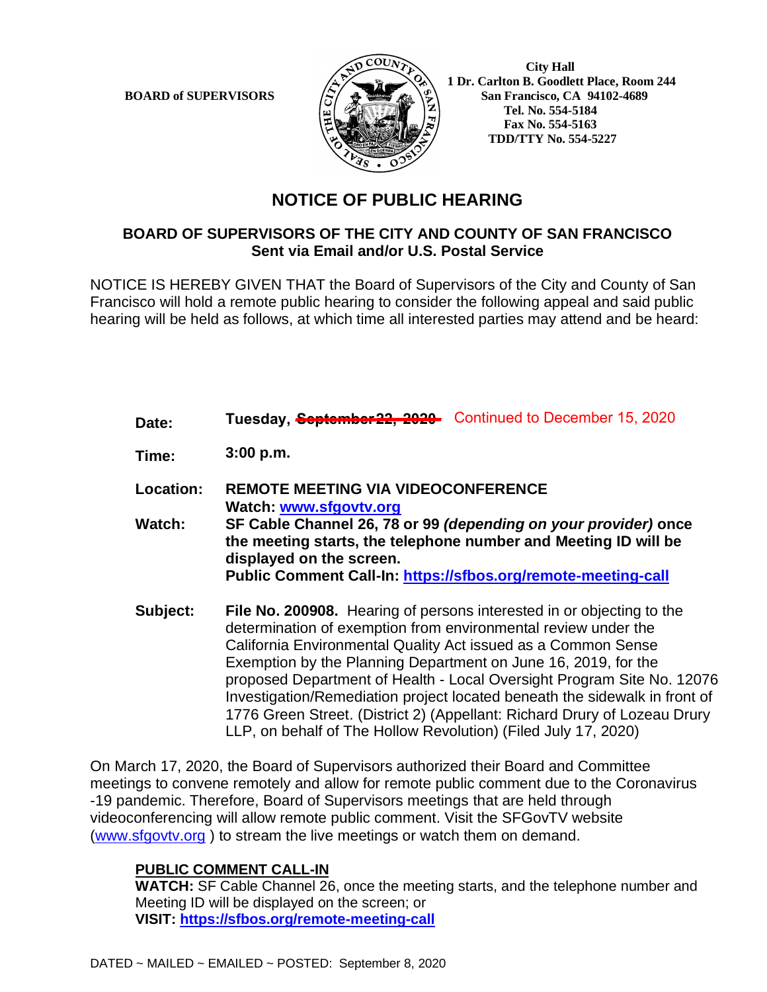

 **City Hall 1 Dr. Carlton B. Goodlett Place, Room 244 BOARD of SUPERVISORS**  $\left(\frac{S}{I}\right)$   $\oplus$   $\left(\frac{S}{I}\right)$  San Francisco, CA 94102-4689  **Tel. No. 554-5184 Fax No. 554-5163 TDD/TTY No. 554-5227**

## **NOTICE OF PUBLIC HEARING**

## **BOARD OF SUPERVISORS OF THE CITY AND COUNTY OF SAN FRANCISCO Sent via Email and/or U.S. Postal Service**

NOTICE IS HEREBY GIVEN THAT the Board of Supervisors of the City and County of San Francisco will hold a remote public hearing to consider the following appeal and said public hearing will be held as follows, at which time all interested parties may attend and be heard:

- **Date: Tuesday, <del>September 22, 2020</del> Continued to December 15, 2020**
- **Time: 3:00 p.m.**
- **Location: REMOTE MEETING VIA VIDEOCONFERENCE Watch: www.sfgovtv.org**
- **Watch: SF Cable Channel 26, 78 or 99** *(depending on your provider)* **once the meeting starts, the telephone number and Meeting ID will be displayed on the screen. Public Comment Call-In: https://sfbos.org/remote-meeting-call**
- **Subject: File No. 200908.** Hearing of persons interested in or objecting to the determination of exemption from environmental review under the California Environmental Quality Act issued as a Common Sense Exemption by the Planning Department on June 16, 2019, for the proposed Department of Health - Local Oversight Program Site No. 12076 Investigation/Remediation project located beneath the sidewalk in front of 1776 Green Street. (District 2) (Appellant: Richard Drury of Lozeau Drury LLP, on behalf of The Hollow Revolution) (Filed July 17, 2020)

On March 17, 2020, the Board of Supervisors authorized their Board and Committee meetings to convene remotely and allow for remote public comment due to the Coronavirus -19 pandemic. Therefore, Board of Supervisors meetings that are held through videoconferencing will allow remote public comment. Visit the SFGovTV website (www.sfgovtv.org ) to stream the live meetings or watch them on demand.

## **PUBLIC COMMENT CALL-IN**

**WATCH:** SF Cable Channel 26, once the meeting starts, and the telephone number and Meeting ID will be displayed on the screen; or **VISIT: https://sfbos.org/remote-meeting-call**